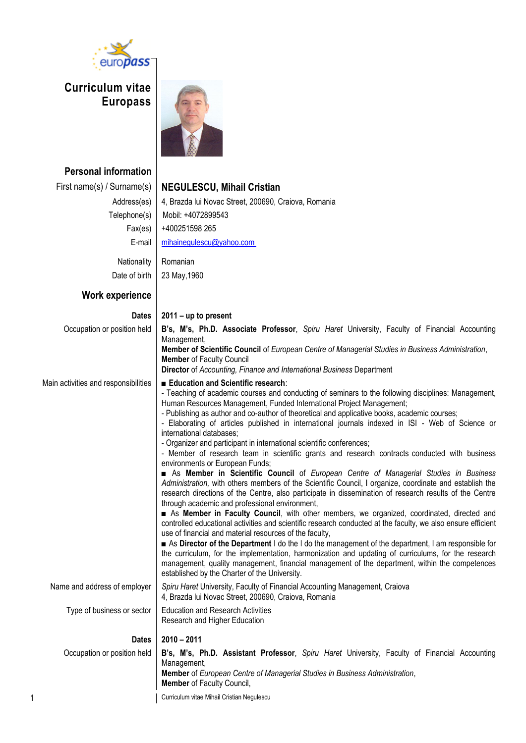

**Curriculum vitae Europass** 



| <b>Personal information</b>          |                                                                                                                                                                                                                                                                                                                                                                                                                                                                                                                                                                                                                                                                                                                                                                                                                                                                                                                                                                                                                                                                                                                                                                                                                                                                                                                                                                                                                                                                                                                                                                                                                                                                      |
|--------------------------------------|----------------------------------------------------------------------------------------------------------------------------------------------------------------------------------------------------------------------------------------------------------------------------------------------------------------------------------------------------------------------------------------------------------------------------------------------------------------------------------------------------------------------------------------------------------------------------------------------------------------------------------------------------------------------------------------------------------------------------------------------------------------------------------------------------------------------------------------------------------------------------------------------------------------------------------------------------------------------------------------------------------------------------------------------------------------------------------------------------------------------------------------------------------------------------------------------------------------------------------------------------------------------------------------------------------------------------------------------------------------------------------------------------------------------------------------------------------------------------------------------------------------------------------------------------------------------------------------------------------------------------------------------------------------------|
| First name(s) / Surname(s)           | <b>NEGULESCU, Mihail Cristian</b>                                                                                                                                                                                                                                                                                                                                                                                                                                                                                                                                                                                                                                                                                                                                                                                                                                                                                                                                                                                                                                                                                                                                                                                                                                                                                                                                                                                                                                                                                                                                                                                                                                    |
| Address(es)                          | 4, Brazda lui Novac Street, 200690, Craiova, Romania                                                                                                                                                                                                                                                                                                                                                                                                                                                                                                                                                                                                                                                                                                                                                                                                                                                                                                                                                                                                                                                                                                                                                                                                                                                                                                                                                                                                                                                                                                                                                                                                                 |
| Telephone(s)                         | Mobil: +4072899543                                                                                                                                                                                                                                                                                                                                                                                                                                                                                                                                                                                                                                                                                                                                                                                                                                                                                                                                                                                                                                                                                                                                                                                                                                                                                                                                                                                                                                                                                                                                                                                                                                                   |
| Fax(es)                              | +400251598 265                                                                                                                                                                                                                                                                                                                                                                                                                                                                                                                                                                                                                                                                                                                                                                                                                                                                                                                                                                                                                                                                                                                                                                                                                                                                                                                                                                                                                                                                                                                                                                                                                                                       |
| E-mail                               | mihainegulescu@yahoo.com                                                                                                                                                                                                                                                                                                                                                                                                                                                                                                                                                                                                                                                                                                                                                                                                                                                                                                                                                                                                                                                                                                                                                                                                                                                                                                                                                                                                                                                                                                                                                                                                                                             |
| Nationality                          | Romanian                                                                                                                                                                                                                                                                                                                                                                                                                                                                                                                                                                                                                                                                                                                                                                                                                                                                                                                                                                                                                                                                                                                                                                                                                                                                                                                                                                                                                                                                                                                                                                                                                                                             |
| Date of birth                        | 23 May, 1960                                                                                                                                                                                                                                                                                                                                                                                                                                                                                                                                                                                                                                                                                                                                                                                                                                                                                                                                                                                                                                                                                                                                                                                                                                                                                                                                                                                                                                                                                                                                                                                                                                                         |
| Work experience                      |                                                                                                                                                                                                                                                                                                                                                                                                                                                                                                                                                                                                                                                                                                                                                                                                                                                                                                                                                                                                                                                                                                                                                                                                                                                                                                                                                                                                                                                                                                                                                                                                                                                                      |
| <b>Dates</b>                         | $2011 - up to present$                                                                                                                                                                                                                                                                                                                                                                                                                                                                                                                                                                                                                                                                                                                                                                                                                                                                                                                                                                                                                                                                                                                                                                                                                                                                                                                                                                                                                                                                                                                                                                                                                                               |
| Occupation or position held          | B's, M's, Ph.D. Associate Professor, Spiru Haret University, Faculty of Financial Accounting<br>Management,                                                                                                                                                                                                                                                                                                                                                                                                                                                                                                                                                                                                                                                                                                                                                                                                                                                                                                                                                                                                                                                                                                                                                                                                                                                                                                                                                                                                                                                                                                                                                          |
|                                      | Member of Scientific Council of European Centre of Managerial Studies in Business Administration,<br><b>Member of Faculty Council</b>                                                                                                                                                                                                                                                                                                                                                                                                                                                                                                                                                                                                                                                                                                                                                                                                                                                                                                                                                                                                                                                                                                                                                                                                                                                                                                                                                                                                                                                                                                                                |
|                                      | Director of Accounting, Finance and International Business Department                                                                                                                                                                                                                                                                                                                                                                                                                                                                                                                                                                                                                                                                                                                                                                                                                                                                                                                                                                                                                                                                                                                                                                                                                                                                                                                                                                                                                                                                                                                                                                                                |
| Main activities and responsibilities | Education and Scientific research:<br>- Teaching of academic courses and conducting of seminars to the following disciplines: Management,<br>Human Resources Management, Funded International Project Management;<br>- Publishing as author and co-author of theoretical and applicative books, academic courses;<br>- Elaborating of articles published in international journals indexed in ISI - Web of Science or<br>international databases;<br>- Organizer and participant in international scientific conferences;<br>- Member of research team in scientific grants and research contracts conducted with business<br>environments or European Funds;<br>As Member in Scientific Council of European Centre of Managerial Studies in Business<br>Administration, with others members of the Scientific Council, I organize, coordinate and establish the<br>research directions of the Centre, also participate in dissemination of research results of the Centre<br>through academic and professional environment,<br>As Member in Faculty Council, with other members, we organized, coordinated, directed and<br>controlled educational activities and scientific research conducted at the faculty, we also ensure efficient<br>use of financial and material resources of the faculty,<br>As Director of the Department I do the I do the management of the department, I am responsible for<br>the curriculum, for the implementation, harmonization and updating of curriculums, for the research<br>management, quality management, financial management of the department, within the competences<br>established by the Charter of the University. |
| Name and address of employer         | Spiru Haret University, Faculty of Financial Accounting Management, Craiova<br>4, Brazda lui Novac Street, 200690, Craiova, Romania                                                                                                                                                                                                                                                                                                                                                                                                                                                                                                                                                                                                                                                                                                                                                                                                                                                                                                                                                                                                                                                                                                                                                                                                                                                                                                                                                                                                                                                                                                                                  |
| Type of business or sector           | <b>Education and Research Activities</b><br>Research and Higher Education                                                                                                                                                                                                                                                                                                                                                                                                                                                                                                                                                                                                                                                                                                                                                                                                                                                                                                                                                                                                                                                                                                                                                                                                                                                                                                                                                                                                                                                                                                                                                                                            |
| <b>Dates</b>                         | $2010 - 2011$                                                                                                                                                                                                                                                                                                                                                                                                                                                                                                                                                                                                                                                                                                                                                                                                                                                                                                                                                                                                                                                                                                                                                                                                                                                                                                                                                                                                                                                                                                                                                                                                                                                        |
| Occupation or position held          | B's, M's, Ph.D. Assistant Professor, Spiru Haret University, Faculty of Financial Accounting<br>Management,<br>Member of European Centre of Managerial Studies in Business Administration,<br>Member of Faculty Council,                                                                                                                                                                                                                                                                                                                                                                                                                                                                                                                                                                                                                                                                                                                                                                                                                                                                                                                                                                                                                                                                                                                                                                                                                                                                                                                                                                                                                                             |
| 1                                    | Curriculum vitae Mihail Cristian Negulescu                                                                                                                                                                                                                                                                                                                                                                                                                                                                                                                                                                                                                                                                                                                                                                                                                                                                                                                                                                                                                                                                                                                                                                                                                                                                                                                                                                                                                                                                                                                                                                                                                           |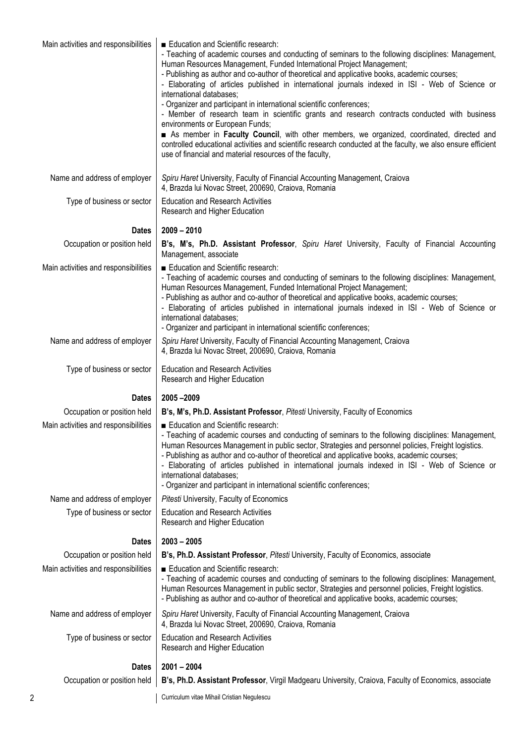| Main activities and responsibilities | Education and Scientific research:<br>- Teaching of academic courses and conducting of seminars to the following disciplines: Management,<br>Human Resources Management, Funded International Project Management;<br>- Publishing as author and co-author of theoretical and applicative books, academic courses;<br>- Elaborating of articles published in international journals indexed in ISI - Web of Science or<br>international databases;<br>- Organizer and participant in international scientific conferences;<br>- Member of research team in scientific grants and research contracts conducted with business<br>environments or European Funds;<br>As member in Faculty Council, with other members, we organized, coordinated, directed and<br>controlled educational activities and scientific research conducted at the faculty, we also ensure efficient<br>use of financial and material resources of the faculty, |
|--------------------------------------|---------------------------------------------------------------------------------------------------------------------------------------------------------------------------------------------------------------------------------------------------------------------------------------------------------------------------------------------------------------------------------------------------------------------------------------------------------------------------------------------------------------------------------------------------------------------------------------------------------------------------------------------------------------------------------------------------------------------------------------------------------------------------------------------------------------------------------------------------------------------------------------------------------------------------------------|
| Name and address of employer         | Spiru Haret University, Faculty of Financial Accounting Management, Craiova<br>4, Brazda lui Novac Street, 200690, Craiova, Romania                                                                                                                                                                                                                                                                                                                                                                                                                                                                                                                                                                                                                                                                                                                                                                                                   |
| Type of business or sector           | <b>Education and Research Activities</b><br>Research and Higher Education                                                                                                                                                                                                                                                                                                                                                                                                                                                                                                                                                                                                                                                                                                                                                                                                                                                             |
| <b>Dates</b>                         | $2009 - 2010$                                                                                                                                                                                                                                                                                                                                                                                                                                                                                                                                                                                                                                                                                                                                                                                                                                                                                                                         |
| Occupation or position held          | B's, M's, Ph.D. Assistant Professor, Spiru Haret University, Faculty of Financial Accounting<br>Management, associate                                                                                                                                                                                                                                                                                                                                                                                                                                                                                                                                                                                                                                                                                                                                                                                                                 |
| Main activities and responsibilities | Education and Scientific research:<br>- Teaching of academic courses and conducting of seminars to the following disciplines: Management,<br>Human Resources Management, Funded International Project Management;<br>- Publishing as author and co-author of theoretical and applicative books, academic courses;<br>- Elaborating of articles published in international journals indexed in ISI - Web of Science or<br>international databases;<br>- Organizer and participant in international scientific conferences;                                                                                                                                                                                                                                                                                                                                                                                                             |
| Name and address of employer         | Spiru Haret University, Faculty of Financial Accounting Management, Craiova<br>4, Brazda lui Novac Street, 200690, Craiova, Romania                                                                                                                                                                                                                                                                                                                                                                                                                                                                                                                                                                                                                                                                                                                                                                                                   |
| Type of business or sector           | <b>Education and Research Activities</b><br>Research and Higher Education                                                                                                                                                                                                                                                                                                                                                                                                                                                                                                                                                                                                                                                                                                                                                                                                                                                             |
| <b>Dates</b>                         | 2005-2009                                                                                                                                                                                                                                                                                                                                                                                                                                                                                                                                                                                                                                                                                                                                                                                                                                                                                                                             |
| Occupation or position held          | B's, M's, Ph.D. Assistant Professor, Pitesti University, Faculty of Economics                                                                                                                                                                                                                                                                                                                                                                                                                                                                                                                                                                                                                                                                                                                                                                                                                                                         |
| Main activities and responsibilities | Education and Scientific research:<br>- Teaching of academic courses and conducting of seminars to the following disciplines: Management,<br>Human Resources Management in public sector, Strategies and personnel policies, Freight logistics.<br>- Publishing as author and co-author of theoretical and applicative books, academic courses;<br>- Elaborating of articles published in international journals indexed in ISI - Web of Science or<br>international databases:<br>- Organizer and participant in international scientific conferences;                                                                                                                                                                                                                                                                                                                                                                               |
| Name and address of employer         | Pitesti University, Faculty of Economics                                                                                                                                                                                                                                                                                                                                                                                                                                                                                                                                                                                                                                                                                                                                                                                                                                                                                              |
| Type of business or sector           | <b>Education and Research Activities</b><br>Research and Higher Education                                                                                                                                                                                                                                                                                                                                                                                                                                                                                                                                                                                                                                                                                                                                                                                                                                                             |
| <b>Dates</b>                         | $2003 - 2005$                                                                                                                                                                                                                                                                                                                                                                                                                                                                                                                                                                                                                                                                                                                                                                                                                                                                                                                         |
| Occupation or position held          | B's, Ph.D. Assistant Professor, Pitesti University, Faculty of Economics, associate                                                                                                                                                                                                                                                                                                                                                                                                                                                                                                                                                                                                                                                                                                                                                                                                                                                   |
| Main activities and responsibilities | Education and Scientific research:<br>- Teaching of academic courses and conducting of seminars to the following disciplines: Management,<br>Human Resources Management in public sector, Strategies and personnel policies, Freight logistics.<br>- Publishing as author and co-author of theoretical and applicative books, academic courses;                                                                                                                                                                                                                                                                                                                                                                                                                                                                                                                                                                                       |
| Name and address of employer         | Spiru Haret University, Faculty of Financial Accounting Management, Craiova<br>4, Brazda lui Novac Street, 200690, Craiova, Romania                                                                                                                                                                                                                                                                                                                                                                                                                                                                                                                                                                                                                                                                                                                                                                                                   |
| Type of business or sector           | <b>Education and Research Activities</b><br>Research and Higher Education                                                                                                                                                                                                                                                                                                                                                                                                                                                                                                                                                                                                                                                                                                                                                                                                                                                             |
| <b>Dates</b>                         | $2001 - 2004$                                                                                                                                                                                                                                                                                                                                                                                                                                                                                                                                                                                                                                                                                                                                                                                                                                                                                                                         |
| Occupation or position held          | B's, Ph.D. Assistant Professor, Virgil Madgearu University, Craiova, Faculty of Economics, associate                                                                                                                                                                                                                                                                                                                                                                                                                                                                                                                                                                                                                                                                                                                                                                                                                                  |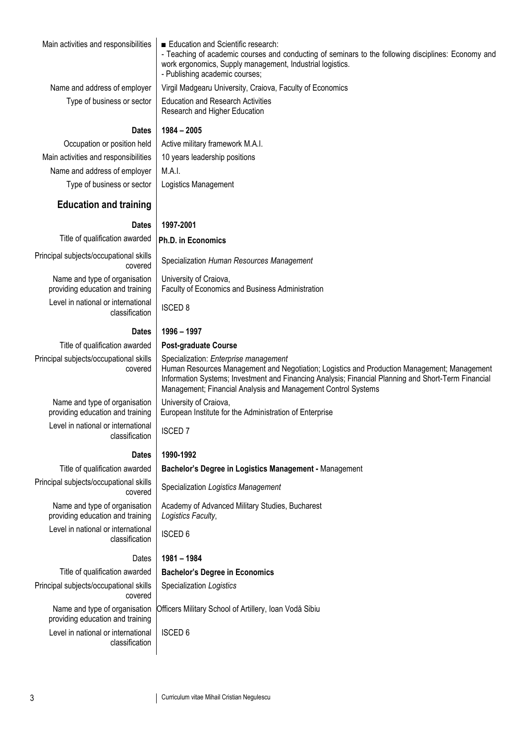| Main activities and responsibilities                              | Education and Scientific research:<br>- Teaching of academic courses and conducting of seminars to the following disciplines: Economy and<br>work ergonomics, Supply management, Industrial logistics.<br>- Publishing academic courses;                                                                     |  |  |  |  |  |  |
|-------------------------------------------------------------------|--------------------------------------------------------------------------------------------------------------------------------------------------------------------------------------------------------------------------------------------------------------------------------------------------------------|--|--|--|--|--|--|
| Name and address of employer                                      | Virgil Madgearu University, Craiova, Faculty of Economics                                                                                                                                                                                                                                                    |  |  |  |  |  |  |
| Type of business or sector                                        | <b>Education and Research Activities</b><br>Research and Higher Education                                                                                                                                                                                                                                    |  |  |  |  |  |  |
| <b>Dates</b>                                                      | $1984 - 2005$                                                                                                                                                                                                                                                                                                |  |  |  |  |  |  |
| Occupation or position held                                       | Active military framework M.A.I.                                                                                                                                                                                                                                                                             |  |  |  |  |  |  |
| Main activities and responsibilities                              | 10 years leadership positions                                                                                                                                                                                                                                                                                |  |  |  |  |  |  |
| Name and address of employer                                      | M.A.I.                                                                                                                                                                                                                                                                                                       |  |  |  |  |  |  |
| Type of business or sector                                        | Logistics Management                                                                                                                                                                                                                                                                                         |  |  |  |  |  |  |
| <b>Education and training</b>                                     |                                                                                                                                                                                                                                                                                                              |  |  |  |  |  |  |
| <b>Dates</b>                                                      | 1997-2001                                                                                                                                                                                                                                                                                                    |  |  |  |  |  |  |
| Title of qualification awarded                                    | Ph.D. in Economics                                                                                                                                                                                                                                                                                           |  |  |  |  |  |  |
| Principal subjects/occupational skills<br>covered                 | Specialization Human Resources Management                                                                                                                                                                                                                                                                    |  |  |  |  |  |  |
| Name and type of organisation<br>providing education and training | University of Craiova,<br>Faculty of Economics and Business Administration                                                                                                                                                                                                                                   |  |  |  |  |  |  |
| Level in national or international<br>classification              | <b>ISCED 8</b>                                                                                                                                                                                                                                                                                               |  |  |  |  |  |  |
| <b>Dates</b>                                                      | 1996 - 1997                                                                                                                                                                                                                                                                                                  |  |  |  |  |  |  |
| Title of qualification awarded                                    | <b>Post-graduate Course</b>                                                                                                                                                                                                                                                                                  |  |  |  |  |  |  |
| Principal subjects/occupational skills<br>covered                 | Specialization: Enterprise management<br>Human Resources Management and Negotiation; Logistics and Production Management; Management<br>Information Systems; Investment and Financing Analysis; Financial Planning and Short-Term Financial<br>Management; Financial Analysis and Management Control Systems |  |  |  |  |  |  |
| Name and type of organisation<br>providing education and training | University of Craiova,<br>European Institute for the Administration of Enterprise                                                                                                                                                                                                                            |  |  |  |  |  |  |
| Level in national or international<br>classification              | <b>ISCED 7</b>                                                                                                                                                                                                                                                                                               |  |  |  |  |  |  |
| <b>Dates</b>                                                      | 1990-1992                                                                                                                                                                                                                                                                                                    |  |  |  |  |  |  |
| Title of qualification awarded                                    | Bachelor's Degree in Logistics Management - Management                                                                                                                                                                                                                                                       |  |  |  |  |  |  |
| Principal subjects/occupational skills<br>covered                 | Specialization Logistics Management                                                                                                                                                                                                                                                                          |  |  |  |  |  |  |
| Name and type of organisation<br>providing education and training | Academy of Advanced Military Studies, Bucharest<br>Logistics Faculty,                                                                                                                                                                                                                                        |  |  |  |  |  |  |
| Level in national or international<br>classification              | <b>ISCED 6</b>                                                                                                                                                                                                                                                                                               |  |  |  |  |  |  |
| Dates                                                             | 1981 - 1984                                                                                                                                                                                                                                                                                                  |  |  |  |  |  |  |
| Title of qualification awarded                                    | <b>Bachelor's Degree in Economics</b>                                                                                                                                                                                                                                                                        |  |  |  |  |  |  |
| Principal subjects/occupational skills<br>covered                 | Specialization Logistics                                                                                                                                                                                                                                                                                     |  |  |  |  |  |  |
| Name and type of organisation<br>providing education and training | Officers Military School of Artillery, Ioan Vodă Sibiu                                                                                                                                                                                                                                                       |  |  |  |  |  |  |
| Level in national or international<br>classification              | <b>ISCED 6</b>                                                                                                                                                                                                                                                                                               |  |  |  |  |  |  |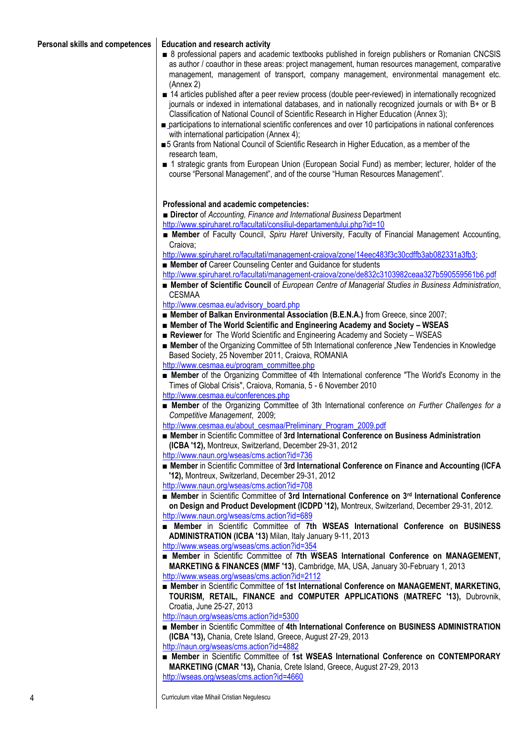- 8 professional papers and academic textbooks published in foreign publishers or Romanian CNCSIS as author / coauthor in these areas: project management, human resources management, comparative management, management of transport, company management, environmental management etc. (Annex 2)
- 14 articles published after a peer review process (double peer-reviewed) in internationally recognized journals or indexed in international databases, and in nationally recognized journals or with B+ or B Classification of National Council of Scientific Research in Higher Education (Annex 3);
- participations to international scientific conferences and over 10 participations in national conferences with international participation (Annex 4):
- ■5 Grants from National Council of Scientific Research in Higher Education, as a member of the research team,
- 1 strategic grants from European Union (European Social Fund) as member; lecturer, holder of the course "Personal Management", and of the course "Human Resources Management".

#### **Professional and academic competencies:**

**■ Director** of *Accounting, Finance and International Business* Department <http://www.spiruharet.ro/facultati/consiliul-departamentului.php?id=10>

**■ Member** of Faculty Council, *Spiru Haret* University, Faculty of Financial Management Accounting, Craiova;

[http://www.spiruharet.ro/facultati/management-craiova/zone/14eec483f3c30cdffb3ab082331a3fb3;](http://www.spiruharet.ro/facultati/management-craiova/zone/14eec483f3c30cdffb3ab082331a3fb3)

- **Member of** Career Counseling Center and Guidance for students
- <http://www.spiruharet.ro/facultati/management-craiova/zone/de832c3103982ceaa327b590559561b6.pdf>
- **Member of Scientific Council** of *European Centre of Managerial Studies in Business Administration*, CESMAA
- [http://www.cesmaa.eu/advisory\\_board.php](http://www.cesmaa.eu/advisory_board.php)
- **Member of Balkan Environmental Association (B.E.N.A.)** from Greece, since 2007;
- Member of The World Scientific and Engineering Academy and Society WSEAS
- **Reviewer** for The World Scientific and Engineering Academy and Society WSEAS
- Member of the Organizing Committee of 5th International conference "New Tendencies in Knowledge Based Society, 25 November 2011, Craiova, ROMANIA

[http://www.cesmaa.eu/program\\_committee.php](http://www.cesmaa.eu/program_committee.php)

- **Member** of the Organizing Committee of 4th International conference "The World's Economy in the [Times of Global Crisis",](http://www.cesmaa.eu/shedule.php) Craiova, Romania, 5 - 6 November 2010 <http://www.cesmaa.eu/conferences.php>
- **Member** of the Organizing Committee of 3th International conference *on Further Challenges for a Competitive Management*, 2009;

[http://www.cesmaa.eu/about\\_cesmaa/Preliminary\\_Program\\_2009.pdf](http://www.cesmaa.eu/about_cesmaa/Preliminary_Program_2009.pdf)

- **Member** in Scientific Committee of 3rd International Conference on Business Administration **(ICBA '12),** Montreux, Switzerland, December 29-31, 2012 <http://www.naun.org/wseas/cms.action?id=736>
- **Member** in Scientific Committee of 3rd International Conference on Finance and Accounting (ICFA **'12),** Montreux, Switzerland, December 29-31, 2012

<http://www.naun.org/wseas/cms.action?id=708>

- **Member** in Scientific Committee of **3rd International Conference on 3rd International Conference on Design and Product Development (ICDPD '12),** Montreux, Switzerland, December 29-31, 2012. <http://www.naun.org/wseas/cms.action?id=689>
- **Member** in Scientific Committee of **7th WSEAS International Conference on BUSINESS ADMINISTRATION (ICBA '13)** Milan, Italy January 9-11, 2013 <http://www.wseas.org/wseas/cms.action?id=354>
- **Member** in Scientific Committee of **7th WSEAS International Conference on MANAGEMENT, MARKETING & FINANCES (MMF '13)**, Cambridge, MA, USA, January 30-February 1, 2013 <http://www.wseas.org/wseas/cms.action?id=2112>
- **Member** in Scientific Committee of **1st International Conference on MANAGEMENT, MARKETING, TOURISM, RETAIL, FINANCE and COMPUTER APPLICATIONS (MATREFC '13),** Dubrovnik, Croatia, June 25-27, 2013

<http://naun.org/wseas/cms.action?id=5300>

- **Member** in Scientific Committee of 4th International Conference on BUSINESS ADMINISTRATION **(ICBA '13),** Chania, Crete Island, Greece, August 27-29, 2013 <http://naun.org/wseas/cms.action?id=4882>
- Member in Scientific Committee of 1st WSEAS International Conference on CONTEMPORARY **MARKETING (CMAR '13),** Chania, Crete Island, Greece, August 27-29, 2013 <http://wseas.org/wseas/cms.action?id=4660>

4 Curriculum vitae Mihail Cristian Negulescu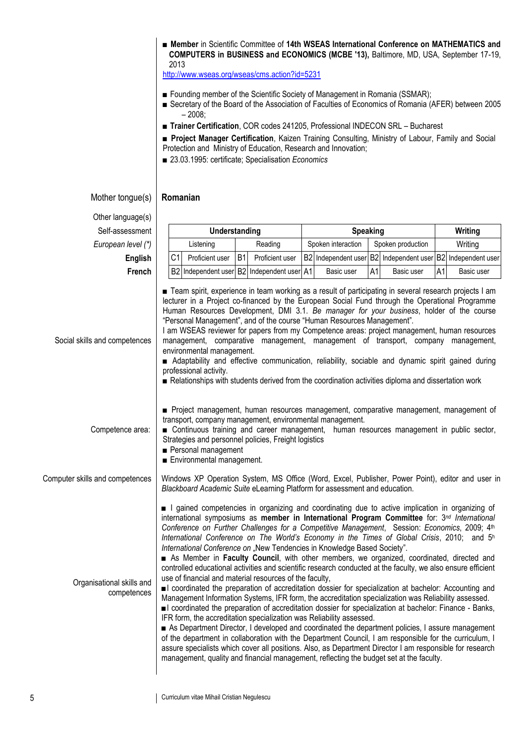■ **Member** in Scientific Committee of **14th WSEAS International Conference on MATHEMATICS and COMPUTERS in BUSINESS and ECONOMICS (MCBE '13),** Baltimore, MD, USA, September 17-19, 2013

<http://www.wseas.org/wseas/cms.action?id=5231>

- Founding member of the Scientific Society of Management in Romania (SSMAR);
- Secretary of the Board of the Association of Faculties of Economics of Romania (AFER) between 2005  $-2008$
- **Trainer Certification**, COR codes 241205, Professional INDECON SRL Bucharest
- **Project Manager Certification**, Kaizen Training Consulting, Ministry of Labour, Family and Social Protection and Ministry of Education, Research and Innovation;
- 23.03.1995: certificate; Specialisation *Economics*

#### Mother tongue(s) **Romanian**

Other language(s)

| Self-assessment                          | Understanding  |                                                     |           | <b>Speaking</b>                                                                                                                                                                                             |  |                    |    | Writing                                                                                                                                                                                                                                                                                                                                                                                                                                                                                                                                                                                                                                                                                                                                                                                                                                                                                                                                                                                                                                                                                                                                                                                                                                                                                                                                                                       |    |            |
|------------------------------------------|----------------|-----------------------------------------------------|-----------|-------------------------------------------------------------------------------------------------------------------------------------------------------------------------------------------------------------|--|--------------------|----|-------------------------------------------------------------------------------------------------------------------------------------------------------------------------------------------------------------------------------------------------------------------------------------------------------------------------------------------------------------------------------------------------------------------------------------------------------------------------------------------------------------------------------------------------------------------------------------------------------------------------------------------------------------------------------------------------------------------------------------------------------------------------------------------------------------------------------------------------------------------------------------------------------------------------------------------------------------------------------------------------------------------------------------------------------------------------------------------------------------------------------------------------------------------------------------------------------------------------------------------------------------------------------------------------------------------------------------------------------------------------------|----|------------|
| European level (*)                       |                | Listening                                           |           | Reading                                                                                                                                                                                                     |  | Spoken interaction |    | Spoken production                                                                                                                                                                                                                                                                                                                                                                                                                                                                                                                                                                                                                                                                                                                                                                                                                                                                                                                                                                                                                                                                                                                                                                                                                                                                                                                                                             |    | Writing    |
| <b>English</b>                           | C <sub>1</sub> | Proficient user                                     | <b>B1</b> | Proficient user                                                                                                                                                                                             |  |                    |    | B2 Independent user B2 Independent user B2 Independent user                                                                                                                                                                                                                                                                                                                                                                                                                                                                                                                                                                                                                                                                                                                                                                                                                                                                                                                                                                                                                                                                                                                                                                                                                                                                                                                   |    |            |
| French                                   |                |                                                     |           | B2 Independent user B2 Independent user A1                                                                                                                                                                  |  | Basic user         | A1 | Basic user                                                                                                                                                                                                                                                                                                                                                                                                                                                                                                                                                                                                                                                                                                                                                                                                                                                                                                                                                                                                                                                                                                                                                                                                                                                                                                                                                                    | A1 | Basic user |
| Social skills and competences            |                | environmental management.<br>professional activity. |           | "Personal Management", and of the course "Human Resources Management".                                                                                                                                      |  |                    |    | ■ Team spirit, experience in team working as a result of participating in several research projects I am<br>lecturer in a Project co-financed by the European Social Fund through the Operational Programme<br>Human Resources Development, DMI 3.1. Be manager for your business, holder of the course<br>I am WSEAS reviewer for papers from my Competence areas: project management, human resources<br>management, comparative management, management of transport, company management,<br>Adaptability and effective communication, reliability, sociable and dynamic spirit gained during<br>Relationships with students derived from the coordination activities diploma and dissertation work                                                                                                                                                                                                                                                                                                                                                                                                                                                                                                                                                                                                                                                                         |    |            |
| Competence area:                         |                | Personal management<br>Environmental management.    |           | transport, company management, environmental management.<br>Strategies and personnel policies, Freight logistics                                                                                            |  |                    |    | Project management, human resources management, comparative management, management of<br>■ Continuous training and career management, human resources management in public sector,                                                                                                                                                                                                                                                                                                                                                                                                                                                                                                                                                                                                                                                                                                                                                                                                                                                                                                                                                                                                                                                                                                                                                                                            |    |            |
| Computer skills and competences          |                |                                                     |           | Blackboard Academic Suite eLearning Platform for assessment and education.                                                                                                                                  |  |                    |    | Windows XP Operation System, MS Office (Word, Excel, Publisher, Power Point), editor and user in                                                                                                                                                                                                                                                                                                                                                                                                                                                                                                                                                                                                                                                                                                                                                                                                                                                                                                                                                                                                                                                                                                                                                                                                                                                                              |    |            |
| Organisational skills and<br>competences |                |                                                     |           | International Conference on "New Tendencies in Knowledge Based Society".<br>use of financial and material resources of the faculty,<br>IFR form, the accreditation specialization was Reliability assessed. |  |                    |    | I gained competencies in organizing and coordinating due to active implication in organizing of<br>international symposiums as member in International Program Committee for: $3^{nd}$ International<br>Conference on Further Challenges for a Competitive Management, Session: Economics, 2009; 4th<br>International Conference on The World's Economy in the Times of Global Crisis, 2010; and 5 <sup>h</sup><br>As Member in Faculty Council, with other members, we organized, coordinated, directed and<br>controlled educational activities and scientific research conducted at the faculty, we also ensure efficient<br>l coordinated the preparation of accreditation dossier for specialization at bachelor: Accounting and<br>Management Information Systems, IFR form, the accreditation specialization was Reliability assessed.<br>I coordinated the preparation of accreditation dossier for specialization at bachelor: Finance - Banks,<br>As Department Director, I developed and coordinated the department policies, I assure management<br>of the department in collaboration with the Department Council, I am responsible for the curriculum, I<br>assure specialists which cover all positions. Also, as Department Director I am responsible for research<br>management, quality and financial management, reflecting the budget set at the faculty. |    |            |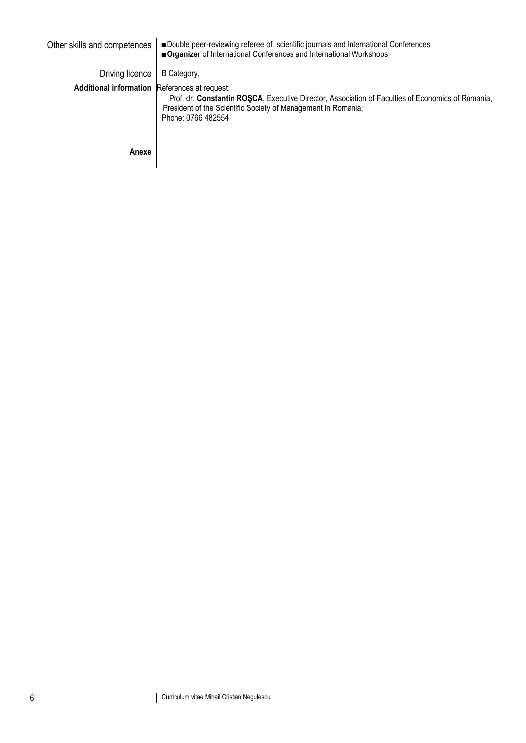| Other skills and competences                  | ■ Double peer-reviewing referee of scientific journals and International Conferences<br>■ Organizer of International Conferences and International Workshops                             |
|-----------------------------------------------|------------------------------------------------------------------------------------------------------------------------------------------------------------------------------------------|
| Driving licence                               | B Category,                                                                                                                                                                              |
| Additional information References at request: | Prof. dr. Constantin ROSCA, Executive Director, Association of Faculties of Economics of Romania,<br>President of the Scientific Society of Management in Romania;<br>Phone: 0766 482554 |
| Anexe                                         |                                                                                                                                                                                          |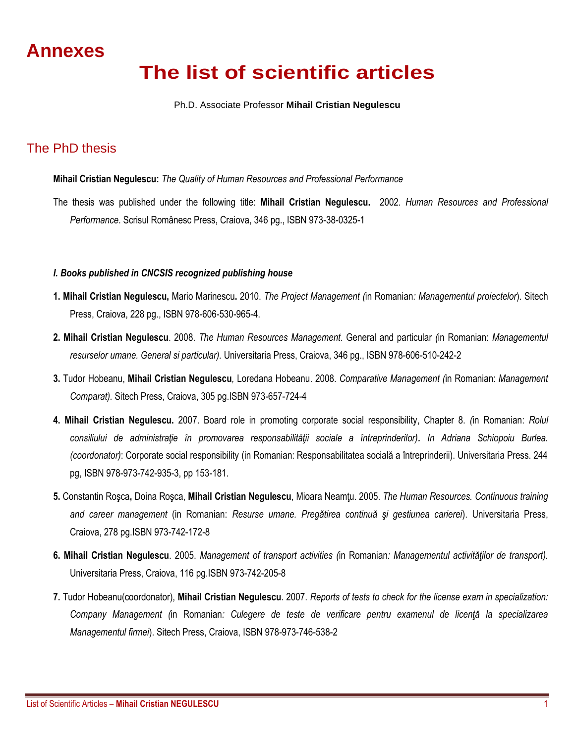## **Annexes**

# **The list of scientific articles**

#### Ph.D. Associate Professor **Mihail Cristian Negulescu**

### The PhD thesis

#### **Mihail Cristian Negulescu:** *The Quality of Human Resources and Professional Performance*

The thesis was published under the following title: **Mihail Cristian Negulescu.** 2002. *Human Resources and Professional Performance*. Scrisul Românesc Press, Craiova, 346 pg., ISBN 973-38-0325-1

#### *I. Books published in CNCSIS recognized publishing house*

- **1. Mihail Cristian Negulescu,** Mario Marinescu**.** 2010. *The Project Management (*in Romanian*: Managementul proiectelor*). Sitech Press, Craiova, 228 pg., ISBN 978-606-530-965-4.
- **2. Mihail Cristian Negulescu**. 2008. *The Human Resources Management.* General and particular *(*in Romanian: *Managementul resurselor umane. General si particular).* Universitaria Press, Craiova, 346 pg., ISBN 978-606-510-242-2
- **3.** Tudor Hobeanu, **Mihail Cristian Negulescu***,* Loredana Hobeanu. 2008. *Comparative Management (*in Romanian: *Management Comparat).* Sitech Press, Craiova, 305 pg.ISBN 973-657-724-4
- **4. Mihail Cristian Negulescu.** 2007. Board role in promoting corporate social responsibility, Chapter 8. *(*in Romanian: *Rolul consiliului de administraţie în promovarea responsabilităţii sociale a întreprinderilor). In Adriana Schiopoiu Burlea. (coordonator)*: Corporate social responsibility (in Romanian: Responsabilitatea socială a întreprinderii). Universitaria Press. 244 pg, ISBN 978-973-742-935-3, pp 153-181.
- **5.** Constantin Roşca**,** Doina Roşca, **Mihail Cristian Negulescu**, Mioara Neamţu. 2005. *The Human Resources. Continuous training and career management* (in Romanian: *Resurse umane. Pregătirea continuă şi gestiunea carierei*). Universitaria Press, Craiova, 278 pg.ISBN 973-742-172-8
- **6. Mihail Cristian Negulescu**. 2005. *Management of transport activities (*in Romanian*: Managementul activităţilor de transport).* Universitaria Press, Craiova, 116 pg.ISBN 973-742-205-8
- **7.** Tudor Hobeanu(coordonator), **Mihail Cristian Negulescu**. 2007. *Reports of tests to check for the license exam in specialization: Company Management (*in Romanian*: Culegere de teste de verificare pentru examenul de licenţă la specializarea Managementul firmei*). Sitech Press, Craiova, ISBN 978-973-746-538-2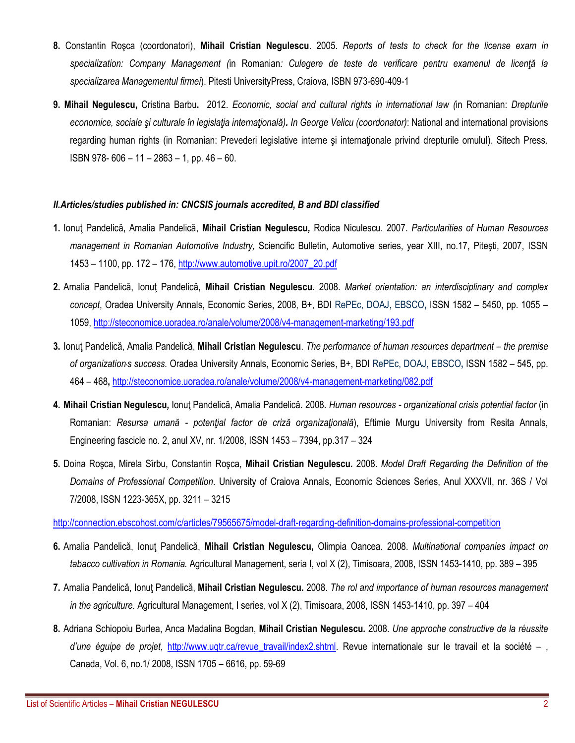- **8.** Constantin Roşca (coordonatori), **Mihail Cristian Negulescu**. 2005. *Reports of tests to check for the license exam in specialization: Company Management (*in Romanian*: Culegere de teste de verificare pentru examenul de licenţă la specializarea Managementul firmei*). Pitesti UniversityPress, Craiova, ISBN 973-690-409-1
- **9. Mihail Negulescu,** Cristina Barbu**.** 2012. *Economic, social and cultural rights in international law (*in Romanian: *Drepturile economice, sociale şi culturale în legislaţia internaţională). In George Velicu (coordonator)*: National and international provisions regarding human rights (in Romanian: Prevederi legislative interne si internationale privind drepturile omulul). Sitech Press. ISBN 978- 606 – 11 – 2863 – 1, pp. 46 – 60.

#### *II.Articles/studies published in: CNCSIS journals accredited, B and BDI classified*

- **1.** Ionuţ Pandelică, Amalia Pandelică, **Mihail Cristian Negulescu***,* Rodica Niculescu. 2007. *Particularities of Human Resources management in Romanian Automotive Industry,* Sciencific Bulletin, Automotive series, year XIII, no.17, Piteşti, 2007, ISSN 1453 – 1100, pp. 172 – 176, [http://www.automotive.upit.ro/2007\\_20.pdf](http://www.automotive.upit.ro/2007_20.pdf)
- **2.** Amalia Pandelică, Ionuţ Pandelică, **Mihail Cristian Negulescu***.* 2008. *Market orientation: an interdisciplinary and complex concept*, Oradea University Annals, Economic Series, 2008, B+, BDI RePEc, DOAJ, EBSCO**,** ISSN 1582 – 5450, pp. 1055 – 1059[, http://steconomice.uoradea.ro/anale/volume/2008/v4-management-marketing/193.pdf](http://steconomice.uoradea.ro/anale/volume/2008/v4-management-marketing/193.pdf)
- **3.** Ionuţ Pandelică, Amalia Pandelică, **Mihail Cristian Negulescu**. *The performance of human resources department – the premise of organization,s success.* Oradea University Annals, Economic Series, B+, BDI RePEc, DOAJ, EBSCO**,** ISSN 1582 – 545, pp. 464 – 468**,** <http://steconomice.uoradea.ro/anale/volume/2008/v4-management-marketing/082.pdf>
- **4. Mihail Cristian Negulescu***,* Ionuţ Pandelică, Amalia Pandelică. 2008. *Human resources organizational crisis potential factor* (in Romanian: *Resursa umană - potenţial factor de criză organizaţională*), Eftimie Murgu University from Resita Annals, Engineering fascicle no. 2, anul XV, nr. 1/2008, ISSN 1453 – 7394, pp.317 – 324
- **5.** Doina Roşca, Mirela Sîrbu, Constantin Roşca, **Mihail Cristian Negulescu***.* 2008. *Model Draft Regarding the Definition of the Domains of Professional Competition*. University of Craiova Annals, Economic Sciences Series, Anul XXXVII, nr. 36S / Vol 7/2008, ISSN 1223-365X, pp. 3211 – 3215

<http://connection.ebscohost.com/c/articles/79565675/model-draft-regarding-definition-domains-professional-competition>

- **6.** Amalia Pandelică, Ionuţ Pandelică, **Mihail Cristian Negulescu,** Olimpia Oancea. 2008. *Multinational companies impact on tabacco cultivation in Romania.* Agricultural Management, seria I, vol X (2), Timisoara, 2008, ISSN 1453-1410, pp. 389 – 395
- **7.** Amalia Pandelică, Ionuţ Pandelică, **Mihail Cristian Negulescu.** 2008. *The rol and importance of human resources management in the agriculture.* Agricultural Management, I series, vol X (2), Timisoara, 2008, ISSN 1453-1410, pp. 397 – 404
- **8.** Adriana Schiopoiu Burlea, Anca Madalina Bogdan, **Mihail Cristian Negulescu***.* 2008. *Une approche constructive de la réussite*  d'une éguipe de projet, http://www.uqtr.ca/revue travail/index2.shtml. Revue internationale sur le travail et la société – , Canada, Vol. 6, no.1/ 2008, ISSN 1705 – 6616, pp. 59-69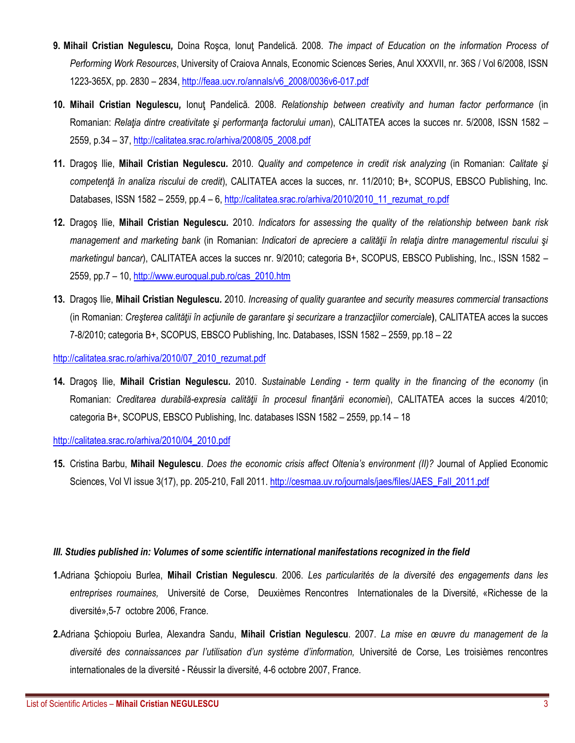- **9. Mihail Cristian Negulescu***,* Doina Roşca, Ionuţ Pandelică. 2008. *The impact of Education on the information Process of Performing Work Resources*, University of Craiova Annals, Economic Sciences Series, Anul XXXVII, nr. 36S / Vol 6/2008, ISSN 1223-365X, pp. 2830 – 2834, [http://feaa.ucv.ro/annals/v6\\_2008/0036v6-017.pdf](http://feaa.ucv.ro/annals/v6_2008/0036v6-017.pdf)
- **10. Mihail Cristian Negulescu***,* Ionuţ Pandelică. 2008. *Relationship between creativity and human factor performance* (in Romanian: *Relaţia dintre creativitate şi performanţa factorului uman*), CALITATEA acces la succes nr. 5/2008, ISSN 1582 – 2559, p.34 – 37, [http://calitatea.srac.ro/arhiva/2008/05\\_2008.pdf](http://calitatea.srac.ro/arhiva/2008/05_2008.pdf)
- **11.** Dragoş Ilie, **Mihail Cristian Negulescu***.* 2010. *Quality and competence in credit risk analyzing* (in Romanian: *Calitate şi competenţă în analiza riscului de credit*), CALITATEA acces la succes, nr. 11/2010; B+, SCOPUS, EBSCO Publishing, Inc. Databases, ISSN 1582 – 2559, pp.4 – 6, [http://calitatea.srac.ro/arhiva/2010/2010\\_11\\_rezumat\\_ro.pdf](http://calitatea.srac.ro/arhiva/2010/2010_11_rezumat_ro.pdf)
- **12.** Dragoş Ilie, **Mihail Cristian Negulescu***.* 2010. *Indicators for assessing the quality of the relationship between bank risk management and marketing bank* (in Romanian: *Indicatori de apreciere a calităţii în relaţia dintre managementul riscului şi marketingul bancar*), CALITATEA acces la succes nr. 9/2010; categoria B+, SCOPUS, EBSCO Publishing, Inc., ISSN 1582 – 2559, pp.7 – 10, [http://www.euroqual.pub.ro/cas\\_2010.htm](http://www.euroqual.pub.ro/cas_2010.htm)
- **13.** Dragoş Ilie, **Mihail Cristian Negulescu***.* 2010. *Increasing of quality guarantee and security measures commercial transactions* (in Romanian: *Creşterea calităţii în acţiunile de garantare şi securizare a tranzacţiilor comerciale***)**, CALITATEA acces la succes 7-8/2010; categoria B+, SCOPUS, EBSCO Publishing, Inc. Databases, ISSN 1582 – 2559, pp.18 – 22

[http://calitatea.srac.ro/arhiva/2010/07\\_2010\\_rezumat.pdf](http://calitatea.srac.ro/arhiva/2010/07_2010_rezumat.pdf)

**14.** Dragoş Ilie, **Mihail Cristian Negulescu***.* 2010. *Sustainable Lending - term quality in the financing of the economy* (in Romanian: *Creditarea durabilă-expresia calităţii în procesul finanţării economiei*), CALITATEA acces la succes 4/2010; categoria B+, SCOPUS, EBSCO Publishing, Inc. databases ISSN 1582 – 2559, pp.14 – 18

[http://calitatea.srac.ro/arhiva/2010/04\\_2010.pdf](http://calitatea.srac.ro/arhiva/2010/04_2010.pdf)

**15.** Cristina Barbu, **Mihail Negulescu**. *Does the economic crisis affect Oltenia's environment (II)?* Journal of Applied Economic Sciences, Vol VI issue 3(17), pp. 205-210, Fall 2011[. http://cesmaa.uv.ro/journals/jaes/files/JAES\\_Fall\\_2011.pdf](http://cesmaa.uv.ro/journals/jaes/files/JAES_Fall_2011.pdf)

#### *III. Studies published in: Volumes of some scientific international manifestations recognized in the field*

- **1.**Adriana Şchiopoiu Burlea, **Mihail Cristian Negulescu**. 2006. *Les particularités de la diversité des engagements dans les entreprises roumaines,* Université de Corse, Deuxièmes Rencontres Internationales de la Diversité, «Richesse de la diversité»,5-7 octobre 2006, France.
- **2.**Adriana Şchiopoiu Burlea, Alexandra Sandu, **Mihail Cristian Negulescu**. 2007. *La mise en œuvre du management de la diversité des connaissances par l'utilisation d'un système d'information,* Université de Corse, Les troisièmes rencontres internationales de la diversité - Réussir la diversité, 4-6 octobre 2007, France.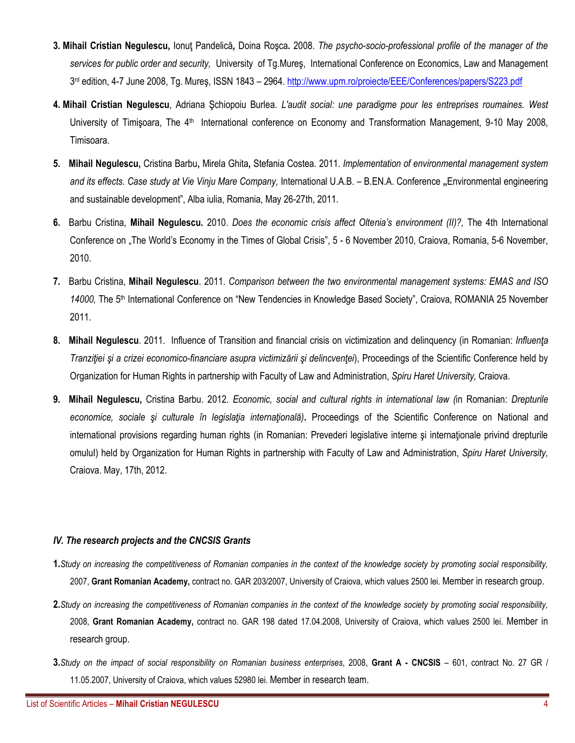- **3. Mihail Cristian Negulescu,** Ionuţ Pandelică*,* Doina Roşca*.* 2008. *The psycho-socio-professional profile of the manager of the services for public order and security,* University of Tg.Mureş, International Conference on Economics, Law and Management 3<sup>rd</sup> edition, 4-7 June 2008, Tg. Mureş, ISSN 1843 – 2964. <u><http://www.upm.ro/proiecte/EEE/Conferences/papers/S223.pdf></u>
- **4. Mihail Cristian Negulescu**, Adriana Şchiopoiu Burlea. *L'audit social: une paradigme pour les entreprises roumaines. West*  University of Timișoara, The 4<sup>th</sup> International conference on Economy and Transformation Management, 9-10 May 2008, Timisoara.
- **5. Mihail Negulescu,** Cristina Barbu**,** Mirela Ghita**,** Stefania Costea. 2011. *Implementation of environmental management system and its effects. Case study at Vie Vinju Mare Company,* International U.A.B. – B.EN.A. Conference **"**Environmental engineering and sustainable development", Alba iulia, Romania, May 26-27th, 2011.
- **6.** Barbu Cristina, **Mihail Negulescu.** 2010. *Does the economic crisis affect Oltenia's environment (II)?,* The 4th International Conference on "The World's Economy in the Times of Global Crisis", 5 - 6 November 2010, Craiova, Romania, 5-6 November, 2010.
- **7.** Barbu Cristina, **Mihail Negulescu**. 2011. *Comparison between the two environmental management systems: EMAS and ISO 14000,* The 5th International Conference on "New Tendencies in Knowledge Based Society", Craiova, ROMANIA 25 November 2011.
- **8. Mihail Negulescu**. 2011. Influence of Transition and financial crisis on victimization and delinquency (in Romanian: *Influenţa Tranziţiei şi a crizei economico-financiare asupra victimizării şi delincvenţei*), Proceedings of the Scientific Conference held by Organization for Human Rights in partnership with Faculty of Law and Administration, *Spiru Haret University,* Craiova.
- **9. Mihail Negulescu,** Cristina Barbu. 2012. *Economic, social and cultural rights in international law (*in Romanian: *Drepturile economice, sociale şi culturale în legislaţia internaţională).* Proceedings of the Scientific Conference on National and international provisions regarding human rights (in Romanian: Prevederi legislative interne şi internaţionale privind drepturile omuluI) held by Organization for Human Rights in partnership with Faculty of Law and Administration, *Spiru Haret University,* Craiova. May, 17th, 2012.

#### *IV. The research projects and the CNCSIS Grants*

- **1.***Study on increasing the competitiveness of Romanian companies in the context of the knowledge society by promoting social responsibility,* 2007, **Grant Romanian Academy,** contract no. GAR 203/2007, University of Craiova, which values 2500 lei. Member in research group.
- **2.***Study on increasing the competitiveness of Romanian companies in the context of the knowledge society by promoting social responsibility,* 2008, **Grant Romanian Academy,** contract no. GAR 198 dated 17.04.2008, University of Craiova, which values 2500 lei. Member in research group.
- **3.***Study on the impact of social responsibility on Romanian business enterprises*, 2008, **Grant A - CNCSIS** 601, contract No. 27 GR / 11.05.2007, University of Craiova, which values 52980 lei. Member in research team.